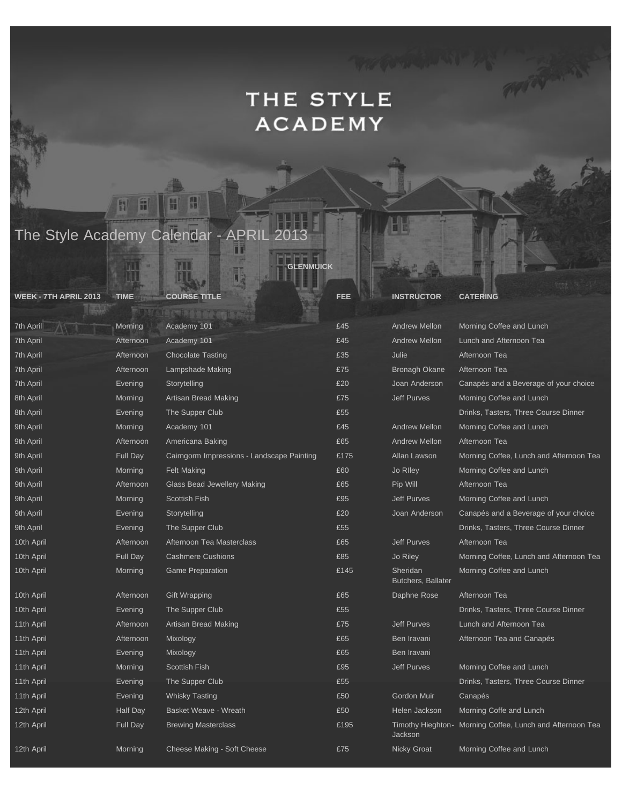## THE STYLE **ACADEMY**

**PASSAGER** 

## The Style Academy Calendar - APRIL 2013

**B/ B** 

 $\mathbb{H}$ 

H H

孤

H.

**GLENMUICK**

LL

| <b>WEEK - 7TH APRIL 2013</b> | <b>TIME</b> | <b>COURSE TITLE</b><br><b>PLEASE IN STREET</b> | FEE  | <b>INSTRUCTOR</b>              | <b>CATERING</b>                                            |
|------------------------------|-------------|------------------------------------------------|------|--------------------------------|------------------------------------------------------------|
|                              |             |                                                |      |                                |                                                            |
| 7th April                    | Morning     | Academy 101                                    | £45  | <b>Andrew Mellon</b>           | Morning Coffee and Lunch                                   |
| 7th April                    | Afternoon   | Academy 101                                    | £45  | <b>Andrew Mellon</b>           | Lunch and Afternoon Tea                                    |
| 7th April                    | Afternoon   | <b>Chocolate Tasting</b>                       | £35  | Julie                          | Afternoon Tea                                              |
| 7th April                    | Afternoon   | Lampshade Making                               | £75  | <b>Bronagh Okane</b>           | Afternoon Tea                                              |
| 7th April                    | Evening     | Storytelling                                   | £20  | Joan Anderson                  | Canapés and a Beverage of your choice                      |
| 8th April                    | Morning     | Artisan Bread Making                           | £75  | <b>Jeff Purves</b>             | Morning Coffee and Lunch                                   |
| 8th April                    | Evening     | The Supper Club                                | £55  |                                | Drinks, Tasters, Three Course Dinner                       |
| 9th April                    | Morning     | Academy 101                                    | £45  | <b>Andrew Mellon</b>           | Morning Coffee and Lunch                                   |
| 9th April                    | Afternoon   | Americana Baking                               | £65  | <b>Andrew Mellon</b>           | Afternoon Tea                                              |
| 9th April                    | Full Day    | Cairngorm Impressions - Landscape Painting     | £175 | Allan Lawson                   | Morning Coffee, Lunch and Afternoon Tea                    |
| 9th April                    | Morning     | <b>Felt Making</b>                             | £60  | Jo Riley                       | Morning Coffee and Lunch                                   |
| 9th April                    | Afternoon   | <b>Glass Bead Jewellery Making</b>             | £65  | Pip Will                       | Afternoon Tea                                              |
| 9th April                    | Morning     | <b>Scottish Fish</b>                           | £95  | <b>Jeff Purves</b>             | Morning Coffee and Lunch                                   |
| 9th April                    | Evening     | Storytelling                                   | £20  | Joan Anderson                  | Canapés and a Beverage of your choice                      |
| 9th April                    | Evening     | The Supper Club                                | £55  |                                | Drinks, Tasters, Three Course Dinner                       |
| 10th April                   | Afternoon   | Afternoon Tea Masterclass                      | £65  | <b>Jeff Purves</b>             | Afternoon Tea                                              |
| 10th April                   | Full Day    | <b>Cashmere Cushions</b>                       | £85  | Jo Riley                       | Morning Coffee, Lunch and Afternoon Tea                    |
| 10th April                   | Morning     | <b>Game Preparation</b>                        | £145 | Sheridan<br>Butchers, Ballater | Morning Coffee and Lunch                                   |
| 10th April                   | Afternoon   | Gift Wrapping                                  | £65  | Daphne Rose                    | Afternoon Tea                                              |
| 10th April                   | Evening     | The Supper Club                                | £55  |                                | Drinks, Tasters, Three Course Dinner                       |
| 11th April                   | Afternoon   | Artisan Bread Making                           | £75  | <b>Jeff Purves</b>             | Lunch and Afternoon Tea                                    |
| 11th April                   | Afternoon   | Mixology                                       | £65  | Ben Iravani                    | Afternoon Tea and Canapés                                  |
| 11th April                   | Evening     | Mixology                                       | £65  | Ben Iravani                    |                                                            |
| 11th April                   | Morning     | <b>Scottish Fish</b>                           | £95  | <b>Jeff Purves</b>             | Morning Coffee and Lunch                                   |
| 11th April                   | Evening     | The Supper Club                                | £55  |                                | Drinks, Tasters, Three Course Dinner                       |
| 11th April                   | Evening     | <b>Whisky Tasting</b>                          | £50  | Gordon Muir                    | Canapés                                                    |
| 12th April                   | Half Day    | <b>Basket Weave - Wreath</b>                   | £50  | Helen Jackson                  | Morning Coffe and Lunch                                    |
| 12th April                   | Full Day    | <b>Brewing Masterclass</b>                     | £195 | Jackson                        | Timothy Hieghton - Morning Coffee, Lunch and Afternoon Tea |
| 12th April                   | Morning     | Cheese Making - Soft Cheese                    | £75  | <b>Nicky Groat</b>             | Morning Coffee and Lunch                                   |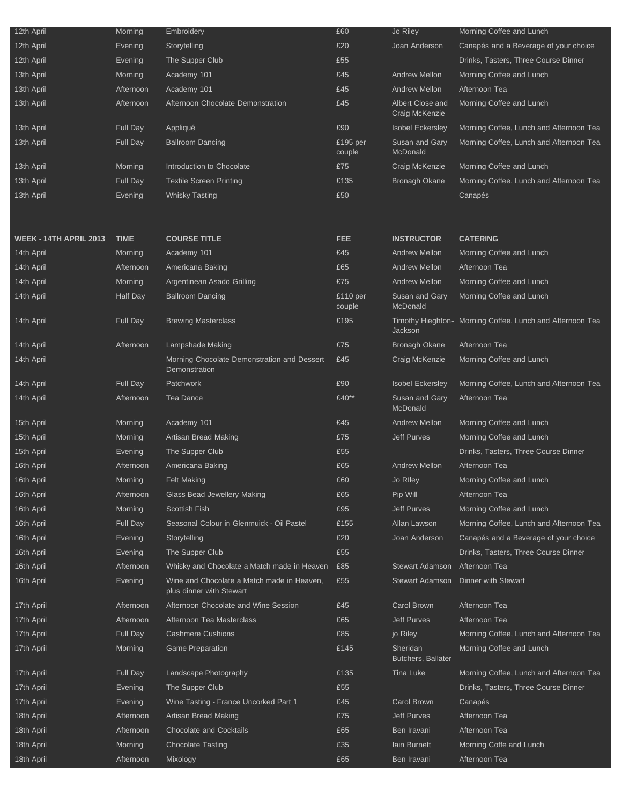| 12th April             | Morning         | Embroidery                                                             | £60                  | Jo Riley                           | Morning Coffee and Lunch                                   |
|------------------------|-----------------|------------------------------------------------------------------------|----------------------|------------------------------------|------------------------------------------------------------|
| 12th April             | Evening         | Storytelling                                                           | £20                  | Joan Anderson                      | Canapés and a Beverage of your choice                      |
| 12th April             | Evening         | The Supper Club                                                        | £55                  |                                    | Drinks, Tasters, Three Course Dinner                       |
| 13th April             | Morning         | Academy 101                                                            | £45                  | <b>Andrew Mellon</b>               | Morning Coffee and Lunch                                   |
| 13th April             | Afternoon       | Academy 101                                                            | £45                  | Andrew Mellon                      | Afternoon Tea                                              |
| 13th April             | Afternoon       | Afternoon Chocolate Demonstration                                      | £45                  | Albert Close and<br>Craig McKenzie | Morning Coffee and Lunch                                   |
| 13th April             | <b>Full Day</b> | Appliqué                                                               | £90                  | <b>Isobel Eckersley</b>            | Morning Coffee, Lunch and Afternoon Tea                    |
| 13th April             | Full Day        | <b>Ballroom Dancing</b>                                                | £195 per<br>couple   | Susan and Gary<br>McDonald         | Morning Coffee, Lunch and Afternoon Tea                    |
| 13th April             | Morning         | Introduction to Chocolate                                              | £75                  | Craig McKenzie                     | Morning Coffee and Lunch                                   |
| 13th April             | Full Day        | <b>Textile Screen Printing</b>                                         | £135                 | <b>Bronagh Okane</b>               | Morning Coffee, Lunch and Afternoon Tea                    |
| 13th April             | Evening         | <b>Whisky Tasting</b>                                                  | £50                  |                                    | Canapés                                                    |
| WEEK - 14TH APRIL 2013 | <b>TIME</b>     | <b>COURSE TITLE</b>                                                    | <b>FEE</b>           | <b>INSTRUCTOR</b>                  | <b>CATERING</b>                                            |
| 14th April             | Morning         | Academy 101                                                            | £45                  | <b>Andrew Mellon</b>               | Morning Coffee and Lunch                                   |
| 14th April             | Afternoon       | Americana Baking                                                       | £65                  | <b>Andrew Mellon</b>               | Afternoon Tea                                              |
| 14th April             | Morning         | Argentinean Asado Grilling                                             | £75                  | <b>Andrew Mellon</b>               | Morning Coffee and Lunch                                   |
| 14th April             | Half Day        | <b>Ballroom Dancing</b>                                                | $£110$ per<br>couple | Susan and Gary<br>McDonald         | Morning Coffee and Lunch                                   |
| 14th April             | <b>Full Day</b> | <b>Brewing Masterclass</b>                                             | £195                 | Jackson                            | Timothy Hieghton - Morning Coffee, Lunch and Afternoon Tea |
| 14th April             | Afternoon       | Lampshade Making                                                       | £75                  | <b>Bronagh Okane</b>               | Afternoon Tea                                              |
| 14th April             |                 | Morning Chocolate Demonstration and Dessert<br>Demonstration           | £45                  | Craig McKenzie                     | Morning Coffee and Lunch                                   |
| 14th April             | <b>Full Day</b> | Patchwork                                                              | £90                  | <b>Isobel Eckersley</b>            | Morning Coffee, Lunch and Afternoon Tea                    |
| 14th April             | Afternoon       | Tea Dance                                                              | £40**                | Susan and Gary<br>McDonald         | Afternoon Tea                                              |
| 15th April             | Morning         | Academy 101                                                            | £45                  | <b>Andrew Mellon</b>               | Morning Coffee and Lunch                                   |
| 15th April             | Morning         | Artisan Bread Making                                                   | £75                  | <b>Jeff Purves</b>                 | Morning Coffee and Lunch                                   |
| 15th April             | Evening         | The Supper Club                                                        | £55                  |                                    | Drinks, Tasters, Three Course Dinner                       |
| 16th April             | Afternoon       | Americana Baking                                                       | £65                  | <b>Andrew Mellon</b>               | Afternoon Tea                                              |
| 16th April             | Morning         | Felt Making                                                            | £60                  | Jo Rlley                           | Morning Coffee and Lunch                                   |
| 16th April             | Afternoon       | <b>Glass Bead Jewellery Making</b>                                     | £65                  | Pip Will                           | Afternoon Tea                                              |
| 16th April             | Morning         | Scottish Fish                                                          | £95                  | Jeff Purves                        | Morning Coffee and Lunch                                   |
| 16th April             | Full Day        | Seasonal Colour in Glenmuick - Oil Pastel                              | £155                 | Allan Lawson                       | Morning Coffee, Lunch and Afternoon Tea                    |
| 16th April             | Evening         | Storytelling                                                           | £20                  | Joan Anderson                      | Canapés and a Beverage of your choice                      |
| 16th April             | Evening         | The Supper Club                                                        | £55                  |                                    | Drinks, Tasters, Three Course Dinner                       |
| 16th April             | Afternoon       | Whisky and Chocolate a Match made in Heaven                            | £85                  | <b>Stewart Adamson</b>             | Afternoon Tea                                              |
| 16th April             | Evening         | Wine and Chocolate a Match made in Heaven,<br>plus dinner with Stewart | £55                  | Stewart Adamson                    | <b>Dinner with Stewart</b>                                 |
| 17th April             | Afternoon       | Afternoon Chocolate and Wine Session                                   | £45                  | Carol Brown                        | Afternoon Tea                                              |
| 17th April             | Afternoon       | Afternoon Tea Masterclass                                              | £65                  | <b>Jeff Purves</b>                 | Afternoon Tea                                              |
| 17th April             | Full Day        | <b>Cashmere Cushions</b>                                               | £85                  | jo Riley                           | Morning Coffee, Lunch and Afternoon Tea                    |
| 17th April             | Morning         | <b>Game Preparation</b>                                                | £145                 | Sheridan<br>Butchers, Ballater     | Morning Coffee and Lunch                                   |
| 17th April             | <b>Full Day</b> | Landscape Photography                                                  | £135                 | Tina Luke                          | Morning Coffee, Lunch and Afternoon Tea                    |
| 17th April             | Evening         | The Supper Club                                                        | £55                  |                                    | Drinks, Tasters, Three Course Dinner                       |
| 17th April             | Evening         | Wine Tasting - France Uncorked Part 1                                  | £45                  | Carol Brown                        | Canapés                                                    |
| 18th April             | Afternoon       | Artisan Bread Making                                                   | £75                  | Jeff Purves                        | Afternoon Tea                                              |
| 18th April             | Afternoon       | <b>Chocolate and Cocktails</b>                                         | £65                  | Ben Iravani                        | Afternoon Tea                                              |
| 18th April             | Morning         | <b>Chocolate Tasting</b>                                               | £35                  | lain Burnett                       | Morning Coffe and Lunch                                    |
| 18th April             | Afternoon       | Mixology                                                               | £65                  | Ben Iravani                        | Afternoon Tea                                              |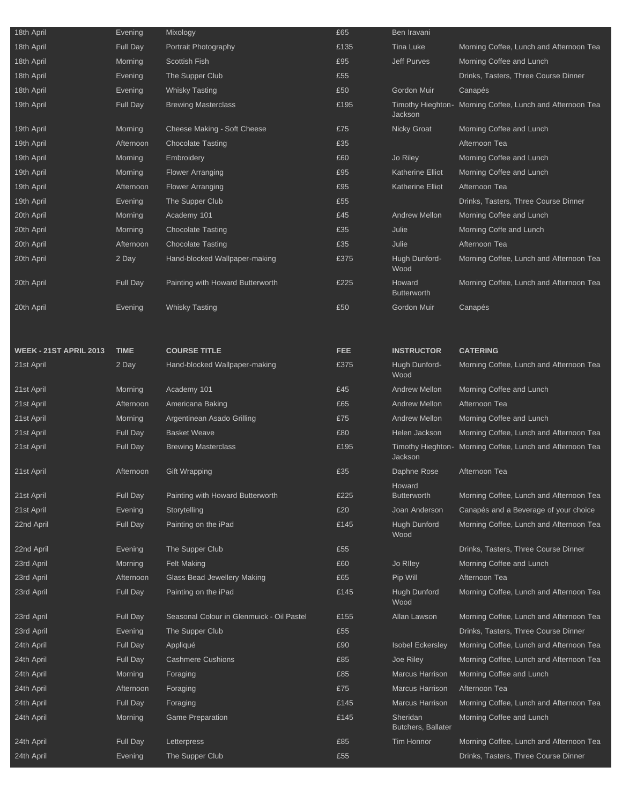| 18th April                    | Evening         | Mixology                                  | £65  | Ben Iravani                    |                                                            |
|-------------------------------|-----------------|-------------------------------------------|------|--------------------------------|------------------------------------------------------------|
| 18th April                    | Full Day        | Portrait Photography                      | £135 | Tina Luke                      | Morning Coffee, Lunch and Afternoon Tea                    |
| 18th April                    | Morning         | Scottish Fish                             | £95  | <b>Jeff Purves</b>             | Morning Coffee and Lunch                                   |
| 18th April                    | Evening         | The Supper Club                           | £55  |                                | Drinks, Tasters, Three Course Dinner                       |
| 18th April                    | Evening         | <b>Whisky Tasting</b>                     | £50  | Gordon Muir                    | Canapés                                                    |
| 19th April                    | Full Day        | <b>Brewing Masterclass</b>                | £195 | Jackson                        | Timothy Hieghton- Morning Coffee, Lunch and Afternoon Tea  |
| 19th April                    | Morning         | Cheese Making - Soft Cheese               | £75  | <b>Nicky Groat</b>             | Morning Coffee and Lunch                                   |
| 19th April                    | Afternoon       | <b>Chocolate Tasting</b>                  | £35  |                                | Afternoon Tea                                              |
| 19th April                    | Morning         | Embroidery                                | £60  | Jo Riley                       | Morning Coffee and Lunch                                   |
| 19th April                    | Morning         | <b>Flower Arranging</b>                   | £95  | <b>Katherine Elliot</b>        | Morning Coffee and Lunch                                   |
| 19th April                    | Afternoon       | <b>Flower Arranging</b>                   | £95  | <b>Katherine Elliot</b>        | Afternoon Tea                                              |
| 19th April                    | Evening         | The Supper Club                           | £55  |                                | Drinks, Tasters, Three Course Dinner                       |
| 20th April                    | Morning         | Academy 101                               | £45  | <b>Andrew Mellon</b>           | Morning Coffee and Lunch                                   |
| 20th April                    | Morning         | <b>Chocolate Tasting</b>                  | £35  | Julie                          | Morning Coffe and Lunch                                    |
| 20th April                    | Afternoon       | <b>Chocolate Tasting</b>                  | £35  | Julie                          | Afternoon Tea                                              |
| 20th April                    | 2 Day           | Hand-blocked Wallpaper-making             | £375 | Hugh Dunford-<br>Wood          | Morning Coffee, Lunch and Afternoon Tea                    |
| 20th April                    | <b>Full Day</b> | Painting with Howard Butterworth          | £225 | Howard<br><b>Butterworth</b>   | Morning Coffee, Lunch and Afternoon Tea                    |
| 20th April                    | Evening         | <b>Whisky Tasting</b>                     | £50  | Gordon Muir                    | Canapés                                                    |
|                               |                 |                                           |      |                                |                                                            |
| <b>WEEK - 21ST APRIL 2013</b> | <b>TIME</b>     | <b>COURSE TITLE</b>                       | FEE  | <b>INSTRUCTOR</b>              | <b>CATERING</b>                                            |
| 21st April                    | 2 Day           | Hand-blocked Wallpaper-making             | £375 | Hugh Dunford-<br>Wood          | Morning Coffee, Lunch and Afternoon Tea                    |
| 21st April                    | Morning         | Academy 101                               | £45  | <b>Andrew Mellon</b>           | Morning Coffee and Lunch                                   |
| 21st April                    | Afternoon       | Americana Baking                          | £65  | <b>Andrew Mellon</b>           | Afternoon Tea                                              |
| 21st April                    | Morning         | Argentinean Asado Grilling                | £75  | <b>Andrew Mellon</b>           | Morning Coffee and Lunch                                   |
| 21st April                    | Full Day        | <b>Basket Weave</b>                       | £80  | Helen Jackson                  | Morning Coffee, Lunch and Afternoon Tea                    |
| 21st April                    | Full Day        | <b>Brewing Masterclass</b>                | £195 | Jackson                        | Timothy Hieghton - Morning Coffee, Lunch and Afternoon Tea |
| 21st April                    | Afternoon       | <b>Gift Wrapping</b>                      | £35  | Daphne Rose<br>Howard          | Afternoon Tea                                              |
| 21st April                    | Full Day        | Painting with Howard Butterworth          | £225 | <b>Butterworth</b>             | Morning Coffee, Lunch and Afternoon Tea                    |
| 21st April                    | Evening         | Storytelling                              | £20  | Joan Anderson                  | Canapés and a Beverage of your choice                      |
| 22nd April                    | <b>Full Day</b> | Painting on the iPad                      | £145 | Hugh Dunford<br>Wood           | Morning Coffee, Lunch and Afternoon Tea                    |
| 22nd April                    | Evening         | The Supper Club                           | £55  |                                | Drinks, Tasters, Three Course Dinner                       |
| 23rd April                    | Morning         | <b>Felt Making</b>                        | £60  | Jo Rlley                       | Morning Coffee and Lunch                                   |
| 23rd April                    | Afternoon       | Glass Bead Jewellery Making               | £65  | Pip Will                       | Afternoon Tea                                              |
| 23rd April                    | Full Day        | Painting on the iPad                      | £145 | <b>Hugh Dunford</b><br>Wood    | Morning Coffee, Lunch and Afternoon Tea                    |
| 23rd April                    | Full Day        | Seasonal Colour in Glenmuick - Oil Pastel | £155 | Allan Lawson                   | Morning Coffee, Lunch and Afternoon Tea                    |
| 23rd April                    | Evening         | The Supper Club                           | £55  |                                | Drinks, Tasters, Three Course Dinner                       |
| 24th April                    | Full Day        | Appliqué                                  | £90  | <b>Isobel Eckersley</b>        | Morning Coffee, Lunch and Afternoon Tea                    |
| 24th April                    | Full Day        | <b>Cashmere Cushions</b>                  | £85  | Joe Riley                      | Morning Coffee, Lunch and Afternoon Tea                    |
| 24th April                    | Morning         | Foraging                                  | £85  | <b>Marcus Harrison</b>         | Morning Coffee and Lunch                                   |
| 24th April                    | Afternoon       | Foraging                                  | £75  | <b>Marcus Harrison</b>         | Afternoon Tea                                              |
| 24th April                    | Full Day        | Foraging                                  | £145 | <b>Marcus Harrison</b>         | Morning Coffee, Lunch and Afternoon Tea                    |
| 24th April                    | Morning         | <b>Game Preparation</b>                   | £145 | Sheridan<br>Butchers, Ballater | Morning Coffee and Lunch                                   |
| 24th April                    | Full Day        | Letterpress                               | £85  | Tim Honnor                     | Morning Coffee, Lunch and Afternoon Tea                    |
| 24th April                    | Evening         | The Supper Club                           | £55  |                                | Drinks, Tasters, Three Course Dinner                       |